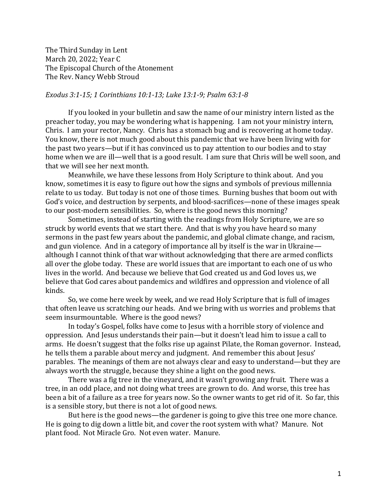The Third Sunday in Lent March 20, 2022; Year C The Episcopal Church of the Atonement The Rev. Nancy Webb Stroud

## *Exodus 3:1-15; 1 Corinthians 10:1-13; Luke 13:1-9; Psalm 63:1-8*

If you looked in your bulletin and saw the name of our ministry intern listed as the preacher today, you may be wondering what is happening. I am not your ministry intern, Chris. I am your rector, Nancy. Chris has a stomach bug and is recovering at home today. You know, there is not much good about this pandemic that we have been living with for the past two years—but if it has convinced us to pay attention to our bodies and to stay home when we are ill—well that is a good result. I am sure that Chris will be well soon, and that we will see her next month.

Meanwhile, we have these lessons from Holy Scripture to think about. And you know, sometimes it is easy to figure out how the signs and symbols of previous millennia relate to us today. But today is not one of those times. Burning bushes that boom out with God's voice, and destruction by serpents, and blood-sacrifices—none of these images speak to our post-modern sensibilities. So, where is the good news this morning?

Sometimes, instead of starting with the readings from Holy Scripture, we are so struck by world events that we start there. And that is why you have heard so many sermons in the past few years about the pandemic, and global climate change, and racism, and gun violence. And in a category of importance all by itself is the war in Ukraine although I cannot think of that war without acknowledging that there are armed conflicts all over the globe today. These are world issues that are important to each one of us who lives in the world. And because we believe that God created us and God loves us, we believe that God cares about pandemics and wildfires and oppression and violence of all kinds.

So, we come here week by week, and we read Holy Scripture that is full of images that often leave us scratching our heads. And we bring with us worries and problems that seem insurmountable. Where is the good news?

In today's Gospel, folks have come to Jesus with a horrible story of violence and oppression. And Jesus understands their pain—but it doesn't lead him to issue a call to arms. He doesn't suggest that the folks rise up against Pilate, the Roman governor. Instead, he tells them a parable about mercy and judgment. And remember this about Jesus' parables. The meanings of them are not always clear and easy to understand—but they are always worth the struggle, because they shine a light on the good news.

There was a fig tree in the vineyard, and it wasn't growing any fruit. There was a tree, in an odd place, and not doing what trees are grown to do. And worse, this tree has been a bit of a failure as a tree for years now. So the owner wants to get rid of it. So far, this is a sensible story, but there is not a lot of good news.

But here is the good news—the gardener is going to give this tree one more chance. He is going to dig down a little bit, and cover the root system with what? Manure. Not plant food. Not Miracle Gro. Not even water. Manure.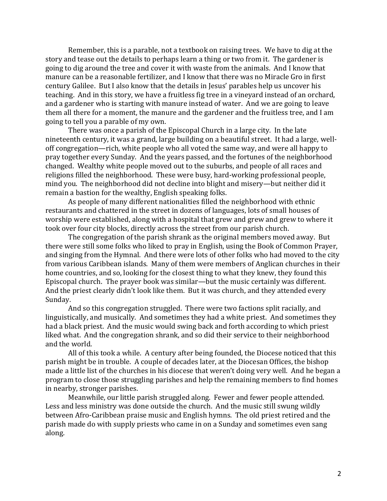Remember, this is a parable, not a textbook on raising trees. We have to dig at the story and tease out the details to perhaps learn a thing or two from it. The gardener is going to dig around the tree and cover it with waste from the animals. And I know that manure can be a reasonable fertilizer, and I know that there was no Miracle Gro in first century Galilee. But I also know that the details in Jesus' parables help us uncover his teaching. And in this story, we have a fruitless fig tree in a vineyard instead of an orchard, and a gardener who is starting with manure instead of water. And we are going to leave them all there for a moment, the manure and the gardener and the fruitless tree, and I am going to tell you a parable of my own.

There was once a parish of the Episcopal Church in a large city. In the late nineteenth century, it was a grand, large building on a beautiful street. It had a large, welloff congregation—rich, white people who all voted the same way, and were all happy to pray together every Sunday. And the years passed, and the fortunes of the neighborhood changed. Wealthy white people moved out to the suburbs, and people of all races and religions filled the neighborhood. These were busy, hard-working professional people, mind you. The neighborhood did not decline into blight and misery—but neither did it remain a bastion for the wealthy, English speaking folks.

As people of many different nationalities filled the neighborhood with ethnic restaurants and chattered in the street in dozens of languages, lots of small houses of worship were established, along with a hospital that grew and grew and grew to where it took over four city blocks, directly across the street from our parish church.

The congregation of the parish shrank as the original members moved away. But there were still some folks who liked to pray in English, using the Book of Common Prayer, and singing from the Hymnal. And there were lots of other folks who had moved to the city from various Caribbean islands. Many of them were members of Anglican churches in their home countries, and so, looking for the closest thing to what they knew, they found this Episcopal church. The prayer book was similar—but the music certainly was different. And the priest clearly didn't look like them. But it was church, and they attended every Sunday.

And so this congregation struggled. There were two factions split racially, and linguistically, and musically. And sometimes they had a white priest. And sometimes they had a black priest. And the music would swing back and forth according to which priest liked what. And the congregation shrank, and so did their service to their neighborhood and the world.

All of this took a while. A century after being founded, the Diocese noticed that this parish might be in trouble. A couple of decades later, at the Diocesan Offices, the bishop made a little list of the churches in his diocese that weren't doing very well. And he began a program to close those struggling parishes and help the remaining members to find homes in nearby, stronger parishes.

Meanwhile, our little parish struggled along. Fewer and fewer people attended. Less and less ministry was done outside the church. And the music still swung wildly between Afro-Caribbean praise music and English hymns. The old priest retired and the parish made do with supply priests who came in on a Sunday and sometimes even sang along.